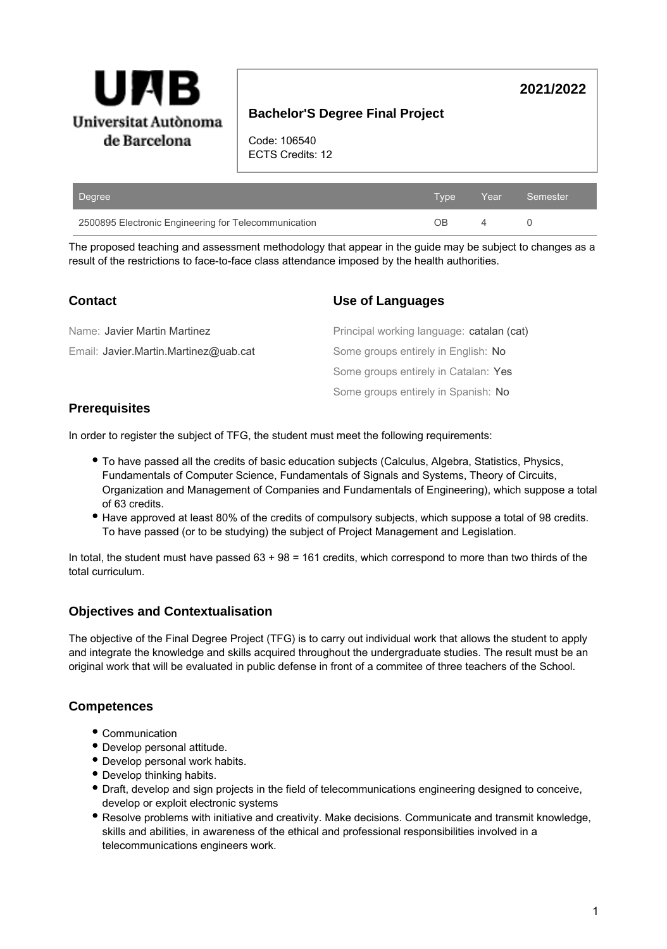

# **Bachelor'S Degree Final Project**

Code: 106540 ECTS Credits: 12

| Degree                                               | 'Tvpe Year」 |   | Semester |
|------------------------------------------------------|-------------|---|----------|
| 2500895 Electronic Engineering for Telecommunication | ΩB          | 4 |          |

The proposed teaching and assessment methodology that appear in the guide may be subject to changes as a result of the restrictions to face-to-face class attendance imposed by the health authorities.

| <b>Contact</b>                        | Use of Languages                          |
|---------------------------------------|-------------------------------------------|
| Name: Javier Martin Martinez          | Principal working language: catalan (cat) |
| Email: Javier.Martin.Martinez@uab.cat | Some groups entirely in English: No       |
|                                       | Some groups entirely in Catalan: Yes      |
|                                       | Some groups entirely in Spanish: No       |

### **Prerequisites**

In order to register the subject of TFG, the student must meet the following requirements:

- To have passed all the credits of basic education subjects (Calculus, Algebra, Statistics, Physics, Fundamentals of Computer Science, Fundamentals of Signals and Systems, Theory of Circuits, Organization and Management of Companies and Fundamentals of Engineering), which suppose a total of 63 credits.
- Have approved at least 80% of the credits of compulsory subjects, which suppose a total of 98 credits. To have passed (or to be studying) the subject of Project Management and Legislation.

In total, the student must have passed 63 + 98 = 161 credits, which correspond to more than two thirds of the total curriculum.

## **Objectives and Contextualisation**

The objective of the Final Degree Project (TFG) is to carry out individual work that allows the student to apply and integrate the knowledge and skills acquired throughout the undergraduate studies. The result must be an original work that will be evaluated in public defense in front of a commitee of three teachers of the School.

## **Competences**

- Communication
- Develop personal attitude.
- Develop personal work habits.
- Develop thinking habits.
- Draft, develop and sign projects in the field of telecommunications engineering designed to conceive, develop or exploit electronic systems
- Resolve problems with initiative and creativity. Make decisions. Communicate and transmit knowledge, skills and abilities, in awareness of the ethical and professional responsibilities involved in a telecommunications engineers work.

**2021/2022**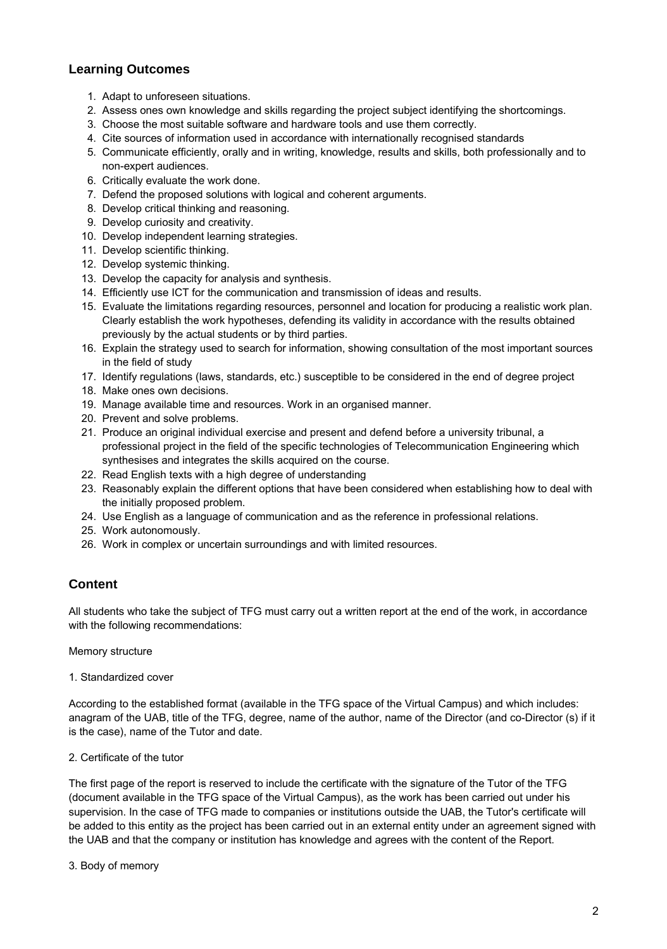## **Learning Outcomes**

- 1. Adapt to unforeseen situations.
- 2. Assess ones own knowledge and skills regarding the project subject identifying the shortcomings.
- 3. Choose the most suitable software and hardware tools and use them correctly.
- 4. Cite sources of information used in accordance with internationally recognised standards
- 5. Communicate efficiently, orally and in writing, knowledge, results and skills, both professionally and to non-expert audiences.
- 6. Critically evaluate the work done.
- 7. Defend the proposed solutions with logical and coherent arguments.
- 8. Develop critical thinking and reasoning.
- 9. Develop curiosity and creativity.
- 10. Develop independent learning strategies.
- 11. Develop scientific thinking.
- 12. Develop systemic thinking.
- 13. Develop the capacity for analysis and synthesis.
- 14. Efficiently use ICT for the communication and transmission of ideas and results.
- 15. Evaluate the limitations regarding resources, personnel and location for producing a realistic work plan. Clearly establish the work hypotheses, defending its validity in accordance with the results obtained previously by the actual students or by third parties.
- 16. Explain the strategy used to search for information, showing consultation of the most important sources in the field of study
- 17. Identify regulations (laws, standards, etc.) susceptible to be considered in the end of degree project
- 18. Make ones own decisions.
- 19. Manage available time and resources. Work in an organised manner.
- 20. Prevent and solve problems.
- 21. Produce an original individual exercise and present and defend before a university tribunal, a professional project in the field of the specific technologies of Telecommunication Engineering which synthesises and integrates the skills acquired on the course.
- 22. Read English texts with a high degree of understanding
- 23. Reasonably explain the different options that have been considered when establishing how to deal with the initially proposed problem.
- 24. Use English as a language of communication and as the reference in professional relations.
- 25. Work autonomously.
- 26. Work in complex or uncertain surroundings and with limited resources.

## **Content**

All students who take the subject of TFG must carry out a written report at the end of the work, in accordance with the following recommendations:

Memory structure

1. Standardized cover

According to the established format (available in the TFG space of the Virtual Campus) and which includes: anagram of the UAB, title of the TFG, degree, name of the author, name of the Director (and co-Director (s) if it is the case), name of the Tutor and date.

2. Certificate of the tutor

The first page of the report is reserved to include the certificate with the signature of the Tutor of the TFG (document available in the TFG space of the Virtual Campus), as the work has been carried out under his supervision. In the case of TFG made to companies or institutions outside the UAB, the Tutor's certificate will be added to this entity as the project has been carried out in an external entity under an agreement signed with the UAB and that the company or institution has knowledge and agrees with the content of the Report.

3. Body of memory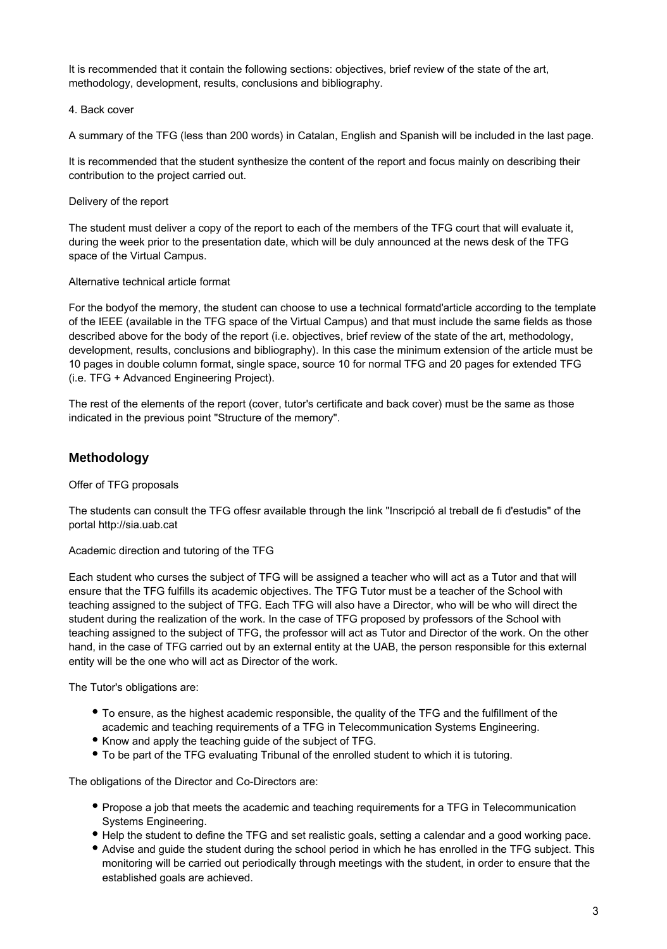It is recommended that it contain the following sections: objectives, brief review of the state of the art, methodology, development, results, conclusions and bibliography.

### 4. Back cover

A summary of the TFG (less than 200 words) in Catalan, English and Spanish will be included in the last page.

It is recommended that the student synthesize the content of the report and focus mainly on describing their contribution to the project carried out.

### Delivery of the report

The student must deliver a copy of the report to each of the members of the TFG court that will evaluate it, during the week prior to the presentation date, which will be duly announced at the news desk of the TFG space of the Virtual Campus.

### Alternative technical article format

For the bodyof the memory, the student can choose to use a technical formatd'article according to the template of the IEEE (available in the TFG space of the Virtual Campus) and that must include the same fields as those described above for the body of the report (i.e. objectives, brief review of the state of the art, methodology, development, results, conclusions and bibliography). In this case the minimum extension of the article must be 10 pages in double column format, single space, source 10 for normal TFG and 20 pages for extended TFG (i.e. TFG + Advanced Engineering Project).

The rest of the elements of the report (cover, tutor's certificate and back cover) must be the same as those indicated in the previous point "Structure of the memory".

### **Methodology**

#### Offer of TFG proposals

The students can consult the TFG offesr available through the link "Inscripció al treball de fi d'estudis" of the portal http://sia.uab.cat

#### Academic direction and tutoring of the TFG

Each student who curses the subject of TFG will be assigned a teacher who will act as a Tutor and that will ensure that the TFG fulfills its academic objectives. The TFG Tutor must be a teacher of the School with teaching assigned to the subject of TFG. Each TFG will also have a Director, who will be who will direct the student during the realization of the work. In the case of TFG proposed by professors of the School with teaching assigned to the subject of TFG, the professor will act as Tutor and Director of the work. On the other hand, in the case of TFG carried out by an external entity at the UAB, the person responsible for this external entity will be the one who will act as Director of the work.

The Tutor's obligations are:

- To ensure, as the highest academic responsible, the quality of the TFG and the fulfillment of the academic and teaching requirements of a TFG in Telecommunication Systems Engineering.
- Know and apply the teaching guide of the subject of TFG.
- To be part of the TFG evaluating Tribunal of the enrolled student to which it is tutoring.

The obligations of the Director and Co-Directors are:

- Propose a job that meets the academic and teaching requirements for a TFG in Telecommunication Systems Engineering.
- Help the student to define the TFG and set realistic goals, setting a calendar and a good working pace.
- Advise and guide the student during the school period in which he has enrolled in the TFG subject. This monitoring will be carried out periodically through meetings with the student, in order to ensure that the established goals are achieved.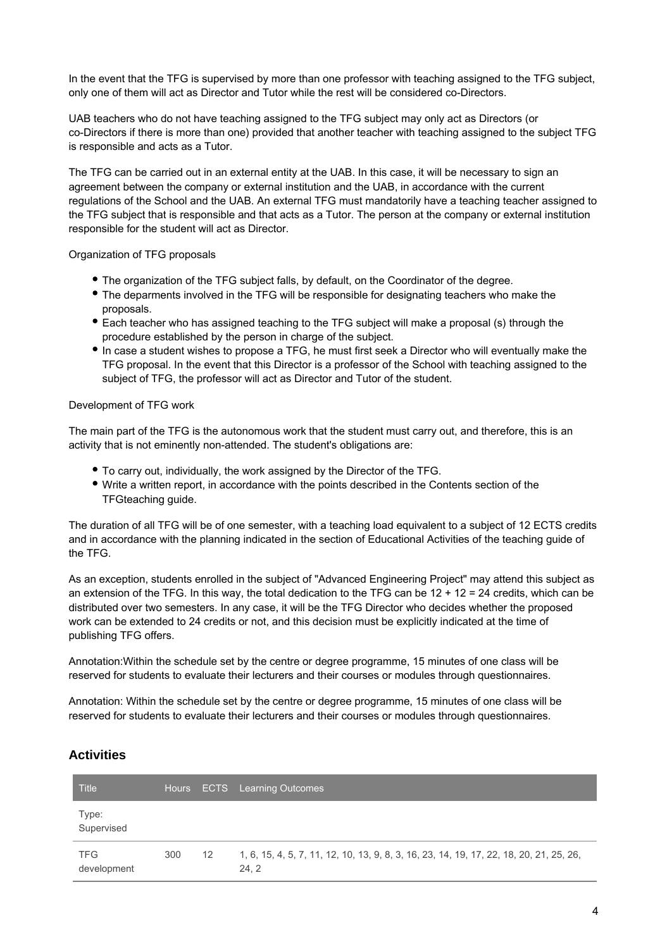In the event that the TFG is supervised by more than one professor with teaching assigned to the TFG subject, only one of them will act as Director and Tutor while the rest will be considered co-Directors.

UAB teachers who do not have teaching assigned to the TFG subject may only act as Directors (or co-Directors if there is more than one) provided that another teacher with teaching assigned to the subject TFG is responsible and acts as a Tutor.

The TFG can be carried out in an external entity at the UAB. In this case, it will be necessary to sign an agreement between the company or external institution and the UAB, in accordance with the current regulations of the School and the UAB. An external TFG must mandatorily have a teaching teacher assigned to the TFG subject that is responsible and that acts as a Tutor. The person at the company or external institution responsible for the student will act as Director.

Organization of TFG proposals

- The organization of the TFG subject falls, by default, on the Coordinator of the degree.
- The deparments involved in the TFG will be responsible for designating teachers who make the proposals.
- Each teacher who has assigned teaching to the TFG subject will make a proposal (s) through the procedure established by the person in charge of the subject.
- In case a student wishes to propose a TFG, he must first seek a Director who will eventually make the TFG proposal. In the event that this Director is a professor of the School with teaching assigned to the subject of TFG, the professor will act as Director and Tutor of the student.

### Development of TFG work

The main part of the TFG is the autonomous work that the student must carry out, and therefore, this is an activity that is not eminently non-attended. The student's obligations are:

- To carry out, individually, the work assigned by the Director of the TFG.
- Write a written report, in accordance with the points described in the Contents section of the TFGteaching guide.

The duration of all TFG will be of one semester, with a teaching load equivalent to a subject of 12 ECTS credits and in accordance with the planning indicated in the section of Educational Activities of the teaching guide of the TFG.

As an exception, students enrolled in the subject of "Advanced Engineering Project" may attend this subject as an extension of the TFG. In this way, the total dedication to the TFG can be  $12 + 12 = 24$  credits, which can be distributed over two semesters. In any case, it will be the TFG Director who decides whether the proposed work can be extended to 24 credits or not, and this decision must be explicitly indicated at the time of publishing TFG offers.

Annotation:Within the schedule set by the centre or degree programme, 15 minutes of one class will be reserved for students to evaluate their lecturers and their courses or modules through questionnaires.

Annotation: Within the schedule set by the centre or degree programme, 15 minutes of one class will be reserved for students to evaluate their lecturers and their courses or modules through questionnaires.

## **Activities**

| <b>Title</b>              |     |    | Hours ECTS Learning Outcomes                                                                    |
|---------------------------|-----|----|-------------------------------------------------------------------------------------------------|
| Type:<br>Supervised       |     |    |                                                                                                 |
| <b>TFG</b><br>development | 300 | 12 | 1, 6, 15, 4, 5, 7, 11, 12, 10, 13, 9, 8, 3, 16, 23, 14, 19, 17, 22, 18, 20, 21, 25, 26,<br>24.2 |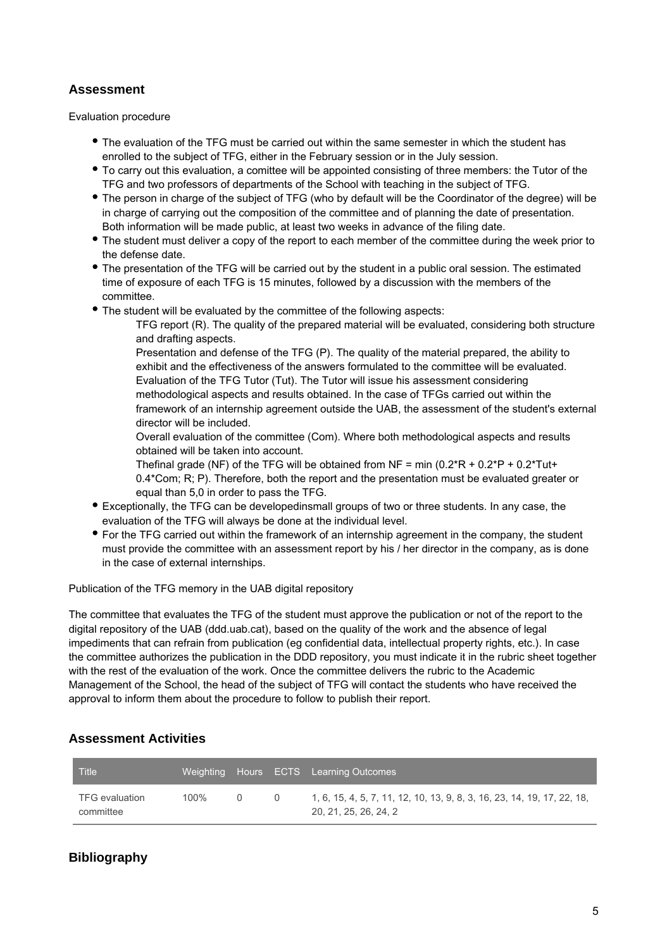## **Assessment**

Evaluation procedure

- The evaluation of the TFG must be carried out within the same semester in which the student has enrolled to the subject of TFG, either in the February session or in the July session.
- To carry out this evaluation, a comittee will be appointed consisting of three members: the Tutor of the TFG and two professors of departments of the School with teaching in the subject of TFG.
- The person in charge of the subject of TFG (who by default will be the Coordinator of the degree) will be in charge of carrying out the composition of the committee and of planning the date of presentation. Both information will be made public, at least two weeks in advance of the filing date.
- The student must deliver a copy of the report to each member of the committee during the week prior to the defense date.
- The presentation of the TFG will be carried out by the student in a public oral session. The estimated time of exposure of each TFG is 15 minutes, followed by a discussion with the members of the committee.
- The student will be evaluated by the committee of the following aspects:

TFG report (R). The quality of the prepared material will be evaluated, considering both structure and drafting aspects.

Presentation and defense of the TFG (P). The quality of the material prepared, the ability to exhibit and the effectiveness of the answers formulated to the committee will be evaluated. Evaluation of the TFG Tutor (Tut). The Tutor will issue his assessment considering methodological aspects and results obtained. In the case of TFGs carried out within the framework of an internship agreement outside the UAB, the assessment of the student's external director will be included.

Overall evaluation of the committee (Com). Where both methodological aspects and results obtained will be taken into account.

Thefinal grade (NF) of the TFG will be obtained from NF = min  $(0.2^*R + 0.2^*P + 0.2^*Tut +$ 0.4\*Com; R; P). Therefore, both the report and the presentation must be evaluated greater or equal than 5,0 in order to pass the TFG.

- Exceptionally, the TFG can be developedinsmall groups of two or three students. In any case, the evaluation of the TFG will always be done at the individual level.
- For the TFG carried out within the framework of an internship agreement in the company, the student must provide the committee with an assessment report by his / her director in the company, as is done in the case of external internships.

Publication of the TFG memory in the UAB digital repository

The committee that evaluates the TFG of the student must approve the publication or not of the report to the digital repository of the UAB (ddd.uab.cat), based on the quality of the work and the absence of legal impediments that can refrain from publication (eg confidential data, intellectual property rights, etc.). In case the committee authorizes the publication in the DDD repository, you must indicate it in the rubric sheet together with the rest of the evaluation of the work. Once the committee delivers the rubric to the Academic Management of the School, the head of the subject of TFG will contact the students who have received the approval to inform them about the procedure to follow to publish their report.

### **Assessment Activities**

| <b>Title</b>                |         |          |        | Weighting Hours ECTS Learning Outcomes                                                           |
|-----------------------------|---------|----------|--------|--------------------------------------------------------------------------------------------------|
| TFG evaluation<br>committee | $100\%$ | $\Omega$ | $\cup$ | 1, 6, 15, 4, 5, 7, 11, 12, 10, 13, 9, 8, 3, 16, 23, 14, 19, 17, 22, 18,<br>20, 21, 25, 26, 24, 2 |

# **Bibliography**